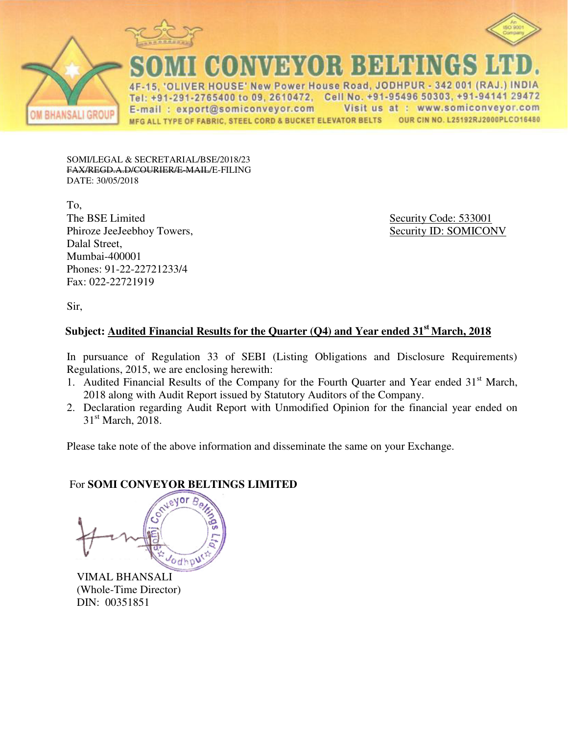



OMMER BEEN CR

ER HOUSE' New Power House Road, JODHPUR - 342 001 (RAJ.) INDIA Tel: +91-291-2765400 to 09, 2610472, Cell No. +91-95496 50303, +91-94141 29472 E-mail: export@somiconveyor.com Visit us at : www.somiconveyor.com MFG ALL TYPE OF FABRIC, STEEL CORD & BUCKET ELEVATOR BELTS OUR CIN NO. L25192RJ2000PLCO16480

SOMI/LEGAL & SECRETARIAL/BSE/2018/23 FAX/REGD.A.D/COURIER/E-MAIL/E-FILING DATE: 30/05/2018

To, The BSE Limited<br>
Phiroze JeeJeebhov Towers,<br>
Security ID: SOMICONV<br>
Security ID: SOMICONV Phiroze JeeJeebhoy Towers, Dalal Street, Mumbai-400001 Phones: 91-22-22721233/4 Fax: 022-22721919

Sir,

## **Subject: Audited Financial Results for the Quarter (Q4) and Year ended 31st March, 2018**

In pursuance of Regulation 33 of SEBI (Listing Obligations and Disclosure Requirements) Regulations, 2015, we are enclosing herewith:

- 1. Audited Financial Results of the Company for the Fourth Quarter and Year ended 31<sup>st</sup> March, 2018 along with Audit Report issued by Statutory Auditors of the Company.
- 2. Declaration regarding Audit Report with Unmodified Opinion for the financial year ended on  $31<sup>st</sup>$  March, 2018.

Please take note of the above information and disseminate the same on your Exchange.

For **SOMI CONVEYOR BELTINGS LIMITED** odhpu

VIMAL BHANSALI (Whole-Time Director) DIN: 00351851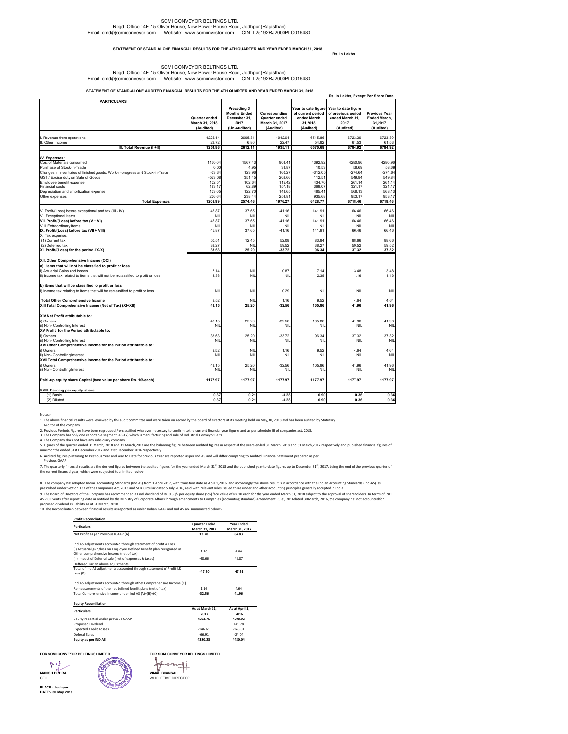#### SOMI CONVEYOR BELTINGS LTD. Regd. Office : 4F-15 Oliver House, New Power House Road, Jodhpur (Rajasthan) Email: cmd@somiconveyor.com Website: www.somiinvestor.com CIN: L25192RJ2000PLC016480

#### **Rs. In Lakhs STATEMENT OF STAND ALONE FINANCIAL RESULTS FOR THE 4TH QUARTER AND YEAR ENDED MARCH 31, 2018**

#### SOMI CONVEYOR BELTINGS LTD. Regd. Office : 4F-15 Oliver House, New Power House Road, Jodhpur (Rajasthan) Email: cmd@somiconveyor.com Website: www.somiinvestor.com CIN: L25192RJ2000PLC016480

**STATEMENT OF STAND-ALONE AUDITED FINANCIAL RESULTS FOR THE 4TH QUARTER AND YEAR ENDED MARCH 31, 2018**

|                                                                                 |                  |                     |                  |                     | Rs. In Lakhs, Except Per Share Data |                      |
|---------------------------------------------------------------------------------|------------------|---------------------|------------------|---------------------|-------------------------------------|----------------------|
| <b>PARTICULARS</b>                                                              |                  |                     |                  |                     |                                     |                      |
|                                                                                 |                  | Preceding 3         |                  | Year to date figure | Year to date figure                 |                      |
|                                                                                 |                  | <b>Months Ended</b> | Corresponding    | of current period   | of previous period                  | <b>Previous Year</b> |
|                                                                                 | Quarter ended    | December 31,        | Quarter ended    | ended March         | ended March 31,                     | <b>Ended March.</b>  |
|                                                                                 | March 31, 2018   | 2017                | March 31, 2017   | 31,2018             | 2017                                | 31,2017              |
|                                                                                 | (Audited)        | (Un-Audited)        | (Audited)        | (Audited)           | (Audited)                           | (Audited)            |
|                                                                                 |                  |                     |                  |                     |                                     |                      |
| Revenue from operations                                                         | 1226.14          | 2605.31             | 1912.64          | 6515.86             | 6723.39                             | 6723.39              |
| II. Other Income                                                                | 28.72            | 6.80                | 22.47            | 54.82               | 61.53                               | 61.53                |
| III. Total Revenue (I +II)                                                      | 1254.86          | 2612.11             | 1935.11          | 6570.68             | 6784.92                             | 6784.92              |
|                                                                                 |                  |                     |                  |                     |                                     |                      |
| IV. Expenses:<br>Cost of Materials consumed                                     |                  |                     |                  |                     |                                     |                      |
|                                                                                 | 1160.04          | 1567.43             | 903.41           | 4392.92             | 4280.96                             | 4280.96              |
| Purchase of Stock-in-Trade                                                      | 0.00<br>$-33.34$ | 4.95<br>123.96      | 33.87<br>160.27  | 10.53<br>$-312.05$  | 58.69<br>$-274.64$                  | 58.69<br>$-274.64$   |
| Changes in inventories of finished goods, Work-in-progress and Stock-in-Trade   | $-573.08$        | 351.45              | 202.66           |                     | 549.84                              | 549.84               |
| GST / Excise duty on Sale of Goods<br>Employee benefit expense                  | 122.51           | 102.64              |                  | 112.51              |                                     |                      |
| Financial costs                                                                 |                  |                     | 115.42<br>157.18 | 434.70<br>369.07    | 261.14<br>321.17                    | 261.14<br>321.17     |
|                                                                                 | 183.17           | 62.89               |                  |                     |                                     |                      |
| Depreciation and amortization expense                                           | 123.05<br>226.64 | 122.70<br>238.44    | 148.65<br>254.81 | 485.41<br>935.68    | 568.13<br>953.17                    | 568.13<br>953.17     |
| Other expenses<br><b>Total Expenses</b>                                         | 1208.99          | 2574.46             | 1976.27          | 6428.77             | 6718.46                             | 6718.46              |
|                                                                                 |                  |                     |                  |                     |                                     |                      |
| V. Profit/(Loss) before exceptional and tax (III - IV)                          | 45.87            | 37.65               | $-41.16$         | 141.91              | 66.46                               | 66.46                |
| VI. Exceptional Items                                                           | <b>NIL</b>       | <b>NIL</b>          | NIL              | NIL                 | NIL                                 | <b>NIL</b>           |
| VII. Profit/(Loss) before tax (V + VI)                                          | 45.87            | 37.65               | $-41.16$         | 141.91              | 66.46                               | 66.46                |
| VIII. Extraordinary Items                                                       | NIL              | <b>NIL</b>          | NIL              | NIL                 | NII                                 | <b>NIL</b>           |
| IX. Profit/(Loss) before tax (VII + VIII)                                       | 45.87            | 37.65               | $-41.16$         | 141.91              | 66.46                               | 66.46                |
| X. Tax expense:                                                                 |                  |                     |                  |                     |                                     |                      |
| (1) Current tax                                                                 | 50.51            | 12.45               | 52.08            | 83.84               | 88.66                               | 88.66                |
| (2) Deferred tax                                                                | 38.27            | NII                 | 59.52            | 38.27               | 59.52                               | 59.52                |
| XI. Profit/(Loss) for the period (IX-X)                                         | 33.63            | 25.20               | $-33.72$         | 96.34               | 37.32                               | 37.32                |
|                                                                                 |                  |                     |                  |                     |                                     |                      |
| XII. Other Comprehensive Income (OCI)                                           |                  |                     |                  |                     |                                     |                      |
| a) Items that will not be classified to profit or loss                          |                  |                     |                  |                     |                                     |                      |
| i) Actuarial Gains and losses                                                   | 7.14             | <b>NIL</b>          | 0.87             | 7.14                | 3.48                                | 3.48                 |
| ii) Income tax related to items that will not be reclassified to profit or loss | 2.38             | <b>NIL</b>          | NIL              | 2.38                | 1.16                                | 1.16                 |
|                                                                                 |                  |                     |                  |                     |                                     |                      |
| b) items that will be classified to profit or loss                              |                  |                     |                  |                     |                                     |                      |
| i) Income tax relating to items that will be reclassified to profit or loss     | <b>NIL</b>       | <b>NIL</b>          | 0.29             | <b>NIL</b>          | NII                                 | <b>NIL</b>           |
|                                                                                 |                  |                     |                  |                     |                                     |                      |
| <b>Total Other Comprehensive Income</b>                                         | 9.52             | NIL                 | 1.16             | 9.52                | 4.64                                | 4.64                 |
| XIII Total Comprehensive Income (Net of Tax) (XI+XII)                           | 43.15            | 25.20               | $-32.56$         | 105.86              | 41.96                               | 41.96                |
|                                                                                 |                  |                     |                  |                     |                                     |                      |
| XIV Net Profit attributable to:                                                 |                  |                     |                  |                     |                                     |                      |
| i) Owners                                                                       | 43.15            | 25.20               | $-32.56$         | 105.86              | 41.96                               | 41.96                |
| ii) Non- Controlling Interest                                                   | NIL              | NIL                 | NIL              | NIL                 | NIL                                 | <b>NIL</b>           |
| XV Profit for the Period attributable to:                                       |                  |                     |                  |                     |                                     |                      |
| i) Owners                                                                       | 33.63            | 25.20               | $-33.72$         | 96.34               | 37.32                               | 37.32                |
| ii) Non- Controlling Interest                                                   | NIL              | <b>NIL</b>          | <b>NIL</b>       | NIL                 | NIL                                 | <b>NIL</b>           |
| XVI Other Comprehensive Income for the Period attributable to:                  |                  |                     |                  |                     |                                     |                      |
| i) Owners                                                                       | 9.52             | <b>NIL</b>          | 1.16             | 9.52                | 4.64                                | 4.64                 |
| ii) Non- Controlling Interest                                                   | NIL              | <b>NIL</b>          | NIL              | NIL                 | NII                                 | <b>NIL</b>           |
| XVII Total Comprehensive Income for the Period attributable to:                 |                  |                     |                  |                     |                                     |                      |
| i) Owners                                                                       | 43.15            | 25.20               | $-32.56$         | 105.86              | 41.96                               | 41.96                |
| ii) Non- Controlling Interest                                                   | NIL              | <b>NIL</b>          | NIL              | NIL                 | NIL                                 | <b>NIL</b>           |
| Paid -up equity share Capital (face value per share Rs. 10/-each)               | 1177.97          | 1177.97             | 1177.97          | 1177.97             | 1177.97                             | 1177.97              |
|                                                                                 |                  |                     |                  |                     |                                     |                      |
| XVIII. Earning per equity share:                                                |                  |                     |                  |                     |                                     |                      |
| (1) Basic                                                                       | 0.37             | 0.21                | $-0.28$          | 0.90                | 0.36                                | 0.36                 |

Notes:-<br>A Life above financial results were reviewed by the audit committee and were taken on record by the board of directors at its meeting held on May,30, 2018 and has been audited by Statutory<br>A Multor of the company.<br>

(2) Diluted **0.37 0.21 -0.28 0.90 0.36 0.36**

6. Audited figures pertaining to Previous Year and year to Date for previous Year are reported as per Ind AS and will differ comparing to Audited Financial Statement prepared as per Previous GAAP.

7. The quarterly financial results are the derived figures for the wearended bare and the version of the spatiation of the published year-to-date figures up to December 31", 2017, being the end of the previous quarter of<br>t

8. The company has adopted Indian Accounting Standards (Ind AS) from 1 April 2017, with transition date as April 1,2016 and accordingly the above result is in accordance with the Indian Accounting Standards (Ind-AS) as<br>pre

#### **Profit Reconciliation**

| <b>Particulars</b>                                                                                                | <b>Quarter Ended</b> | <b>Year Ended</b><br>March 31, 2017 |  |
|-------------------------------------------------------------------------------------------------------------------|----------------------|-------------------------------------|--|
|                                                                                                                   | March 31, 2017       |                                     |  |
| Net Profit as per Previous IGAAP (A)                                                                              | 13.78                | 84.83                               |  |
| Ind AS Adjustments accounted through statement of profit & Loss                                                   |                      |                                     |  |
| (i) Actuarial gain/loss on Employee Defined Benefit plan recognized in<br>Other comprehensive Income (net of tax) | 1.16                 | 4.64                                |  |
| (ii) Impact of Deferral sale (net of expenses & taxes)                                                            | $-48.66$             | 42.87                               |  |
| Deffered Tax on above adjustments                                                                                 |                      |                                     |  |
| Total of Ind AS adjustments accounted through statement of Profit L&<br>Loss (B)                                  | $-47.50$             | 47.51                               |  |
|                                                                                                                   |                      |                                     |  |
| Ind AS Adjustments accounted through other Comprehensive Income (C)                                               |                      |                                     |  |
| Remeasurements of the net defined benfit plans (net of tax)                                                       | 1.16                 | 4.64                                |  |
| Total Comprehensive Income under Ind AS (A)+(B)+(C)                                                               | $-32.56$             | 41.96                               |  |

| <b>Equity Reconciliation</b><br><b>Particulars</b> | As at March 31. | As at April 1. |  |
|----------------------------------------------------|-----------------|----------------|--|
|                                                    | 2017            | 2016           |  |
| Equity reported under previous GAAP                | 4593.75         | 4508.92        |  |
| <b>Proposed Dividend</b>                           |                 | 141.78         |  |
| <b>Expected Credit Losses</b>                      | $-146.61$       | $-146.61$      |  |
| Deferal Sales                                      | $-66.91$        | $-24.04$       |  |
| Equity as per IND AS                               | 4380.23         | 4480.04        |  |

**FOR SOMI CONVEYOR BELTINGS LIMITED FOR SOMI CONVEYOR BELTINGS LIMITED**

M. **MANISH BOHRA**





**MANISH BOHRA**<br>CFO WHOLETIME DIRECTOR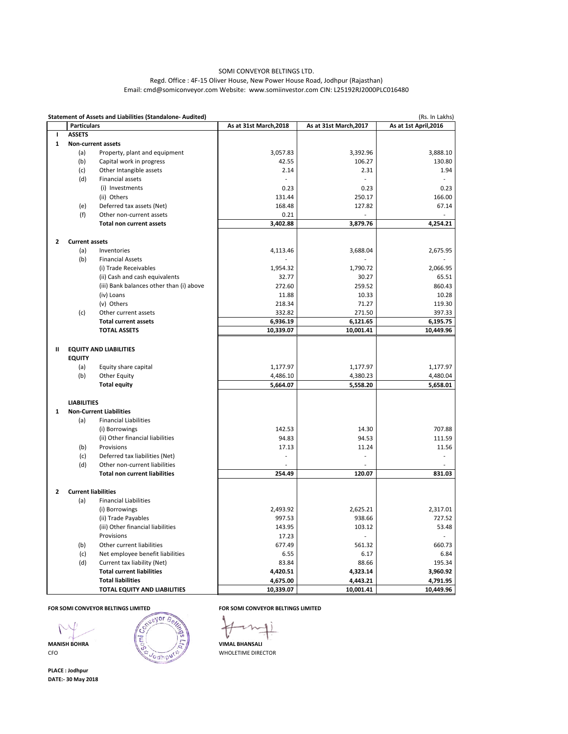|                |                            | <b>Statement of Assets and Liabilities (Standalone- Audited)</b> |                        |                        | (Rs. In Lakhs)        |  |
|----------------|----------------------------|------------------------------------------------------------------|------------------------|------------------------|-----------------------|--|
|                | <b>Particulars</b>         |                                                                  | As at 31st March, 2018 | As at 31st March, 2017 | As at 1st April, 2016 |  |
| L              | <b>ASSETS</b>              |                                                                  |                        |                        |                       |  |
| 1              |                            | <b>Non-current assets</b>                                        |                        |                        |                       |  |
|                | (a)                        | Property, plant and equipment                                    | 3,057.83               | 3,392.96               | 3,888.10              |  |
|                | (b)                        | Capital work in progress                                         | 42.55                  | 106.27                 | 130.80                |  |
|                | (c)                        | Other Intangible assets                                          | 2.14                   | 2.31                   | 1.94                  |  |
|                | (d)                        | Financial assets                                                 |                        |                        |                       |  |
|                |                            | (i) Investments                                                  | 0.23                   | 0.23                   | 0.23                  |  |
|                |                            | (ii) Others                                                      | 131.44                 | 250.17                 | 166.00                |  |
|                | (e)                        | Deferred tax assets (Net)                                        | 168.48                 | 127.82                 | 67.14                 |  |
|                | (f)                        | Other non-current assets                                         | 0.21                   |                        |                       |  |
|                |                            | <b>Total non current assets</b>                                  | 3,402.88               | 3,879.76               | 4,254.21              |  |
| $\overline{2}$ | <b>Current assets</b>      |                                                                  |                        |                        |                       |  |
|                | (a)                        | Inventories                                                      | 4,113.46               | 3,688.04               | 2,675.95              |  |
|                | (b)                        | <b>Financial Assets</b>                                          |                        |                        |                       |  |
|                |                            | (i) Trade Receivables                                            | 1,954.32               | 1,790.72               | 2,066.95              |  |
|                |                            | (ii) Cash and cash equivalents                                   | 32.77                  | 30.27                  | 65.51                 |  |
|                |                            | (iii) Bank balances other than (i) above                         | 272.60                 | 259.52                 | 860.43                |  |
|                |                            | (iv) Loans                                                       | 11.88                  | 10.33                  | 10.28                 |  |
|                |                            | (v) Others                                                       | 218.34                 | 71.27                  | 119.30                |  |
|                | (c)                        | Other current assets                                             | 332.82                 | 271.50                 | 397.33                |  |
|                |                            | <b>Total current assets</b>                                      | 6,936.19               | 6,121.65               | 6,195.75              |  |
|                |                            | <b>TOTAL ASSETS</b>                                              | 10,339.07              | 10,001.41              | 10,449.96             |  |
| Ш              |                            | <b>EQUITY AND LIABILITIES</b>                                    |                        |                        |                       |  |
|                | <b>EQUITY</b>              |                                                                  |                        |                        |                       |  |
|                | (a)                        | Equity share capital                                             | 1,177.97               | 1,177.97               | 1,177.97              |  |
|                | (b)                        | <b>Other Equity</b>                                              | 4,486.10               | 4,380.23               | 4,480.04              |  |
|                |                            | <b>Total equity</b>                                              | 5,664.07               | 5,558.20               | 5,658.01              |  |
|                | <b>LIABILITIES</b>         |                                                                  |                        |                        |                       |  |
| 1              |                            | <b>Non-Current Liabilities</b>                                   |                        |                        |                       |  |
|                | (a)                        | <b>Financial Liabilities</b>                                     |                        |                        |                       |  |
|                |                            | (i) Borrowings                                                   | 142.53                 | 14.30                  | 707.88                |  |
|                |                            | (ii) Other financial liabilities                                 | 94.83                  | 94.53                  | 111.59                |  |
|                | (b)                        | Provisions                                                       | 17.13                  | 11.24                  | 11.56                 |  |
|                | (c)                        | Deferred tax liabilities (Net)                                   |                        |                        |                       |  |
|                | (d)                        | Other non-current liabilities                                    |                        |                        |                       |  |
|                |                            | <b>Total non current liabilities</b>                             | 254.49                 | 120.07                 | 831.03                |  |
| $\overline{2}$ | <b>Current liabilities</b> |                                                                  |                        |                        |                       |  |
|                | (a)                        | <b>Financial Liabilities</b>                                     |                        |                        |                       |  |
|                |                            | (i) Borrowings                                                   | 2,493.92               | 2,625.21               | 2,317.01              |  |
|                |                            | (ii) Trade Payables                                              | 997.53                 | 938.66                 | 727.52                |  |
|                |                            | (iii) Other financial liabilities                                | 143.95                 | 103.12                 | 53.48                 |  |
|                |                            | Provisions                                                       | 17.23                  |                        |                       |  |
|                |                            |                                                                  |                        |                        |                       |  |

| (b) | Other current liabilities           | 677.49    | 561.32    | 660.73    |
|-----|-------------------------------------|-----------|-----------|-----------|
| (c) | Net employee benefit liabilities    | 6.55      | 6.17      | 6.84      |
| (d) | Current tax liability (Net)         | 83.84     | 88.66     | 195.34    |
|     | <b>Total current liabilities</b>    | 4,420.51  | 4,323.14  | 3,960.92  |
|     | <b>Total liabilities</b>            | 4,675.00  | 4,443.21  | 4,791.95  |
|     | <b>TOTAL EQUITY AND LIABILITIES</b> | 10,339.07 | 10.001.41 | 10,449.96 |

### **FOR SOMI CONVEYOR BELTINGS LIMITED FOR SOMI CONVEYOR BELTINGS LIMITED**





**PLACE : Jodhpur DATE:- 30 May 2018**

# SOMI CONVEYOR BELTINGS LTD. Regd. Office : 4F-15 Oliver House, New Power House Road, Jodhpur (Rajasthan) Email: cmd@somiconveyor.com Website: www.somiinvestor.com CIN: L25192RJ2000PLC016480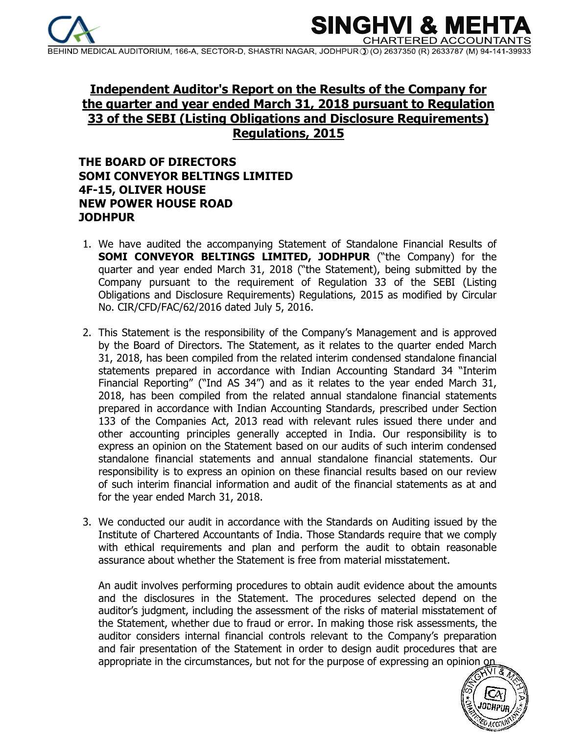

SINGHVI & **CHARTERED ACCOL** 

MEDICAL AUDITORIUM, 166-A, SECTOR-D, SHASTRI NAGAR, JODHPUR (D) 2637350 (R) 2633787 (M) 94-141-39

# **Independent Auditor's Report on the Results of the Company for the quarter and year ended March 31, 2018 pursuant to Regulation 33 of the SEBI (Listing Obligations and Disclosure Requirements) Regulations, 2015**

## **THE BOARD OF DIRECTORS SOMI CONVEYOR BELTINGS LIMITED 4F-15, OLIVER HOUSE NEW POWER HOUSE ROAD JODHPUR**

- 1. We have audited the accompanying Statement of Standalone Financial Results of **SOMI CONVEYOR BELTINGS LIMITED, JODHPUR** ("the Company) for the quarter and year ended March 31, 2018 ("the Statement), being submitted by the Company pursuant to the requirement of Regulation 33 of the SEBI (Listing Obligations and Disclosure Requirements) Regulations, 2015 as modified by Circular No. CIR/CFD/FAC/62/2016 dated July 5, 2016.
- 2. This Statement is the responsibility of the Company's Management and is approved by the Board of Directors. The Statement, as it relates to the quarter ended March 31, 2018, has been compiled from the related interim condensed standalone financial statements prepared in accordance with Indian Accounting Standard 34 "Interim Financial Reporting" ("Ind AS 34") and as it relates to the year ended March 31, 2018, has been compiled from the related annual standalone financial statements prepared in accordance with Indian Accounting Standards, prescribed under Section 133 of the Companies Act, 2013 read with relevant rules issued there under and other accounting principles generally accepted in India. Our responsibility is to express an opinion on the Statement based on our audits of such interim condensed standalone financial statements and annual standalone financial statements. Our responsibility is to express an opinion on these financial results based on our review of such interim financial information and audit of the financial statements as at and for the year ended March 31, 2018.
- 3. We conducted our audit in accordance with the Standards on Auditing issued by the Institute of Chartered Accountants of India. Those Standards require that we comply with ethical requirements and plan and perform the audit to obtain reasonable assurance about whether the Statement is free from material misstatement.

An audit involves performing procedures to obtain audit evidence about the amounts and the disclosures in the Statement. The procedures selected depend on the auditor's judgment, including the assessment of the risks of material misstatement of the Statement, whether due to fraud or error. In making those risk assessments, the auditor considers internal financial controls relevant to the Company's preparation and fair presentation of the Statement in order to design audit procedures that are appropriate in the circumstances, but not for the purpose of expressing an opinion on

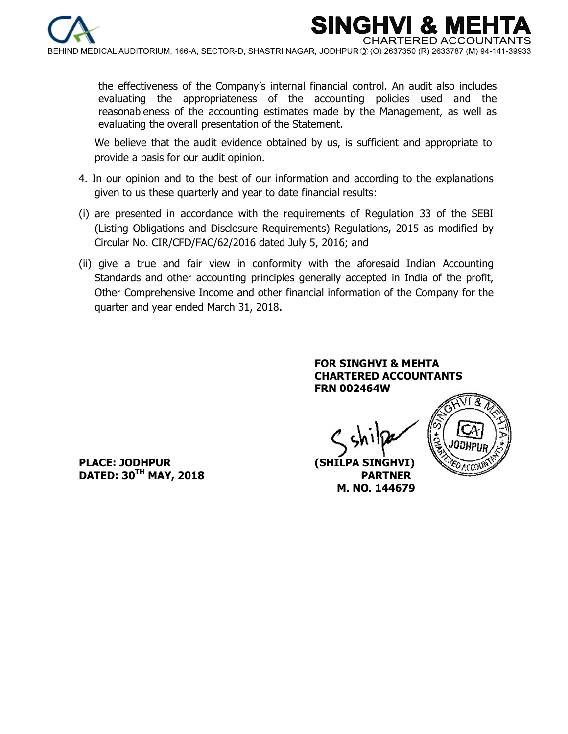

MEDICAL AUDITORIUM, 166-A, SECTOR-D, SHASTRI NAGAR, JODHPUR ① (O) 2637350 (R) 2633787 (M) 94-141-3

SINGHV

CHARTERED AC

the effectiveness of the Company's internal financial control. An audit also includes evaluating the appropriateness of the accounting policies used and the reasonableness of the accounting estimates made by the Management, as well as evaluating the overall presentation of the Statement.

 We believe that the audit evidence obtained by us, is sufficient and appropriate to provide a basis for our audit opinion.

- 4. In our opinion and to the best of our information and according to the explanations given to us these quarterly and year to date financial results:
- (i) are presented in accordance with the requirements of Regulation 33 of the SEBI (Listing Obligations and Disclosure Requirements) Regulations, 2015 as modified by Circular No. CIR/CFD/FAC/62/2016 dated July 5, 2016; and
- (ii) give a true and fair view in conformity with the aforesaid Indian Accounting Standards and other accounting principles generally accepted in India of the profit, Other Comprehensive Income and other financial information of the Company for the quarter and year ended March 31, 2018.

### **FOR SINGHVI & MEHTA CHARTERED ACCOUNTANTS FRN 002464W**



**PLACE: JODHPUR (SHILPA SINGHVI) DATED: 30TH MAY, 2018 PARTNER** 

 **M. NO. 144679**